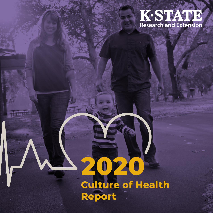# **K-STATE**<br>Research and Extension

# **2020 Culture of Health Report**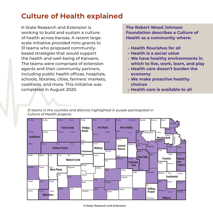## **Culture of Health explained**

K-State Research and Extension is working to build and sustain a culture of health across Kansas. A recent largescale initiative provided mini-grants to 31 teams who proposed communitybased strategies that would support the health and well-being of Kansans. The teams were comprised of extension agents and their community partners, including public health offices, hospitals, schools, libraries, cities, farmers' markets, coalitions, and more. This initiative was completed in August 2020.

**The Robert Wood Johnson Foundation describes a Culture of Health as a community where:**

- » **Health flourishes for all**
- » **Health is a social value**
- » **We have healthy environments in which to live, work, learn, and play**
- » **Health care doesn't burden the economy**
- » **We make proactive healthy choices**
- » **Health care is available to all**

*31 teams in the counties and districts highlighted in purple participated in Culture of Health projects.* 

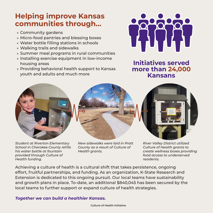## **Helping improve Kansas communities through…**

- » Community gardens
- » Micro-food pantries and blessing boxes
- » Water bottle filling stations in schools
- » Walking trails and sidewalks
- » Summer meal programs in rural communities
- » Installing exercise equipment in low-income housing areas
- » Providing behavioral health support to Kansas youth and adults and much more



**Initiatives served more than 24,000 Kansans**



*Student at Riverton Elementary School in Cherokee County refills his water bottle at fountain provided through Culture of Health funding.*



*New sidewalks were laid in Pratt County as a result of Culture of Health grants.*



*River Valley District utilized Culture of Health grants to create wellness boxes providing food access to underserved residents.*

Achieving a culture of health is a cultural shift that takes persistence, ongoing effort, fruitful partnerships, and funding. As an organization, K-State Research and Extension is dedicated to this ongoing pursuit. Our local teams have sustainability and growth plans in place. To-date, an additional \$840,045 has been secured by the local teams to further support or expand culture of health strategies.

#### *Together we can build a healthier Kansas.*